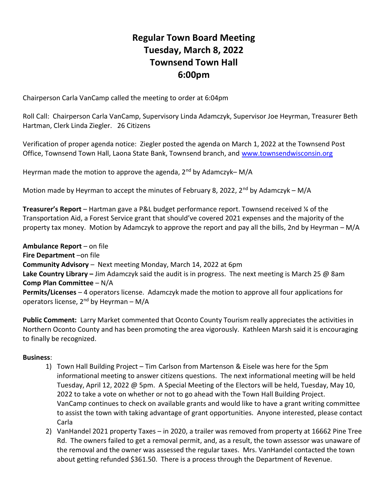## Regular Town Board Meeting Tuesday, March 8, 2022 Townsend Town Hall 6:00pm

Chairperson Carla VanCamp called the meeting to order at 6:04pm

Roll Call: Chairperson Carla VanCamp, Supervisory Linda Adamczyk, Supervisor Joe Heyrman, Treasurer Beth Hartman, Clerk Linda Ziegler. 26 Citizens

Verification of proper agenda notice: Ziegler posted the agenda on March 1, 2022 at the Townsend Post Office, Townsend Town Hall, Laona State Bank, Townsend branch, and www.townsendwisconsin.org

Heyrman made the motion to approve the agenda,  $2^{nd}$  by Adamczyk– M/A

Motion made by Heyrman to accept the minutes of February 8, 2022, 2<sup>nd</sup> by Adamczyk – M/A

Treasurer's Report – Hartman gave a P&L budget performance report. Townsend received ¼ of the Transportation Aid, a Forest Service grant that should've covered 2021 expenses and the majority of the property tax money. Motion by Adamczyk to approve the report and pay all the bills, 2nd by Heyrman – M/A

Ambulance Report – on file Fire Department –on file Community Advisory – Next meeting Monday, March 14, 2022 at 6pm Lake Country Library – Jim Adamczyk said the audit is in progress. The next meeting is March 25  $\omega$  8am Comp Plan Committee – N/A Permits/Licenses – 4 operators license. Adamczyk made the motion to approve all four applications for operators license,  $2^{nd}$  by Heyrman – M/A

Public Comment: Larry Market commented that Oconto County Tourism really appreciates the activities in Northern Oconto County and has been promoting the area vigorously. Kathleen Marsh said it is encouraging to finally be recognized.

## Business:

- 1) Town Hall Building Project Tim Carlson from Martenson & Eisele was here for the 5pm informational meeting to answer citizens questions. The next informational meeting will be held Tuesday, April 12, 2022 @ 5pm. A Special Meeting of the Electors will be held, Tuesday, May 10, 2022 to take a vote on whether or not to go ahead with the Town Hall Building Project. VanCamp continues to check on available grants and would like to have a grant writing committee to assist the town with taking advantage of grant opportunities. Anyone interested, please contact Carla
- 2) VanHandel 2021 property Taxes in 2020, a trailer was removed from property at 16662 Pine Tree Rd. The owners failed to get a removal permit, and, as a result, the town assessor was unaware of the removal and the owner was assessed the regular taxes. Mrs. VanHandel contacted the town about getting refunded \$361.50. There is a process through the Department of Revenue.